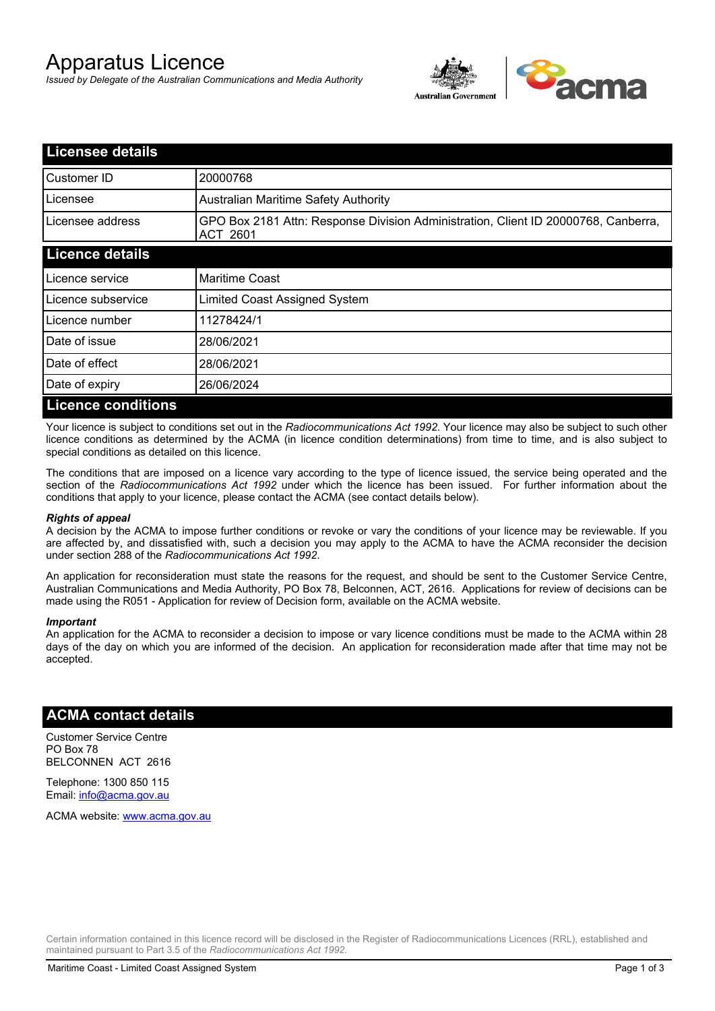# Apparatus Licence

*Issued by Delegate of the Australian Communications and Media Authority*



| <b>Licensee details</b>   |                                                                                                       |  |
|---------------------------|-------------------------------------------------------------------------------------------------------|--|
| Customer ID               | 20000768                                                                                              |  |
| Licensee                  | <b>Australian Maritime Safety Authority</b>                                                           |  |
| Licensee address          | GPO Box 2181 Attn: Response Division Administration, Client ID 20000768, Canberra,<br><b>ACT 2601</b> |  |
| <b>Licence details</b>    |                                                                                                       |  |
| Licence service           | <b>Maritime Coast</b>                                                                                 |  |
| Licence subservice        | Limited Coast Assigned System                                                                         |  |
| Licence number            | 11278424/1                                                                                            |  |
| Date of issue             | 28/06/2021                                                                                            |  |
| Date of effect            | 28/06/2021                                                                                            |  |
| Date of expiry            | 26/06/2024                                                                                            |  |
| <b>Licence conditions</b> |                                                                                                       |  |

Your licence is subject to conditions set out in the *Radiocommunications Act 1992*. Your licence may also be subject to such other licence conditions as determined by the ACMA (in licence condition determinations) from time to time, and is also subject to special conditions as detailed on this licence.

The conditions that are imposed on a licence vary according to the type of licence issued, the service being operated and the section of the *Radiocommunications Act 1992* under which the licence has been issued. For further information about the conditions that apply to your licence, please contact the ACMA (see contact details below).

### *Rights of appeal*

A decision by the ACMA to impose further conditions or revoke or vary the conditions of your licence may be reviewable. If you are affected by, and dissatisfied with, such a decision you may apply to the ACMA to have the ACMA reconsider the decision under section 288 of the *Radiocommunications Act 1992*.

An application for reconsideration must state the reasons for the request, and should be sent to the Customer Service Centre, Australian Communications and Media Authority, PO Box 78, Belconnen, ACT, 2616. Applications for review of decisions can be made using the R051 - Application for review of Decision form, available on the ACMA website.

#### *Important*

An application for the ACMA to reconsider a decision to impose or vary licence conditions must be made to the ACMA within 28 days of the day on which you are informed of the decision. An application for reconsideration made after that time may not be accepted.

## **ACMA contact details**

Customer Service Centre PO Box 78 BELCONNEN ACT 2616

Telephone: 1300 850 115 Email: info@acma.gov.au

ACMA website: www.acma.gov.au

Certain information contained in this licence record will be disclosed in the Register of Radiocommunications Licences (RRL), established and maintained pursuant to Part 3.5 of the *Radiocommunications Act 1992.*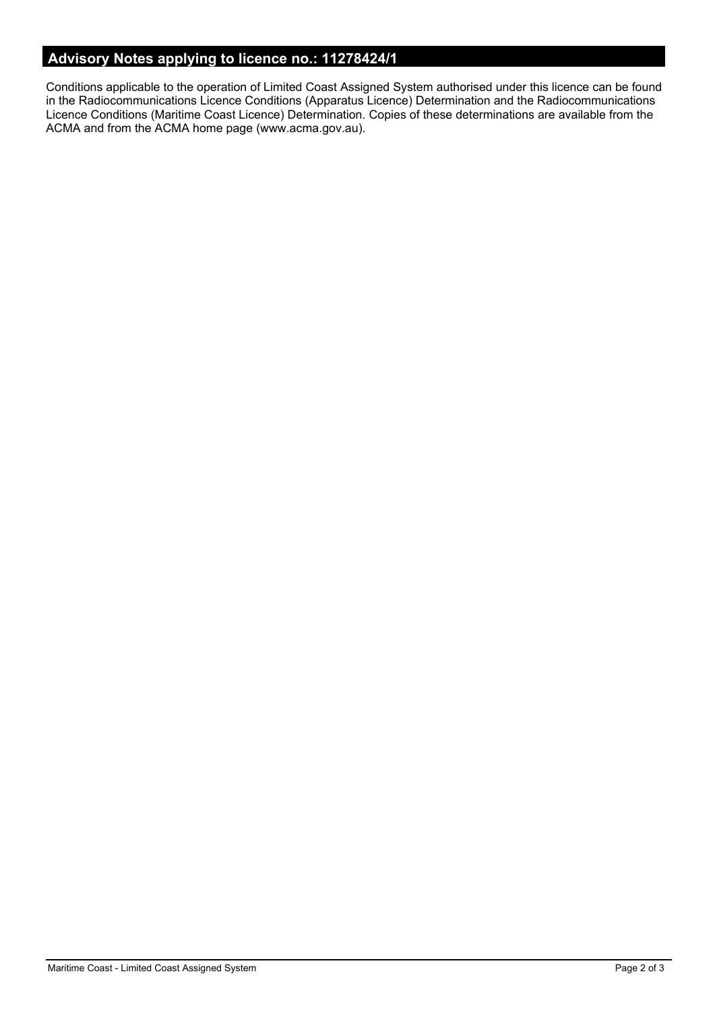# **Advisory Notes applying to licence no.: 11278424/1**

Conditions applicable to the operation of Limited Coast Assigned System authorised under this licence can be found in the Radiocommunications Licence Conditions (Apparatus Licence) Determination and the Radiocommunications Licence Conditions (Maritime Coast Licence) Determination. Copies of these determinations are available from the ACMA and from the ACMA home page (www.acma.gov.au).